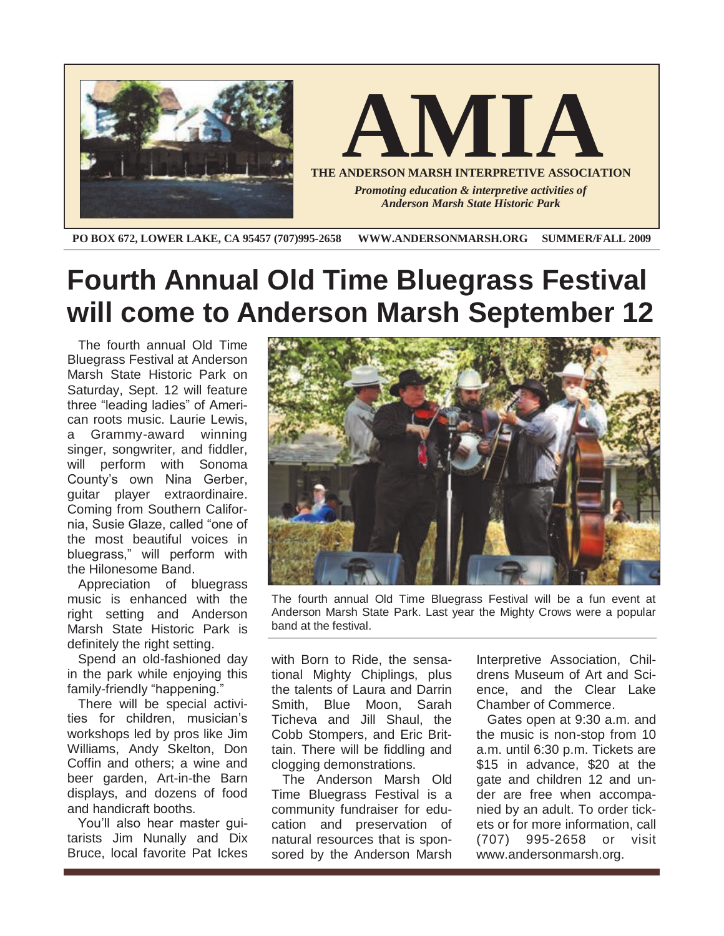

**PO BOX 672, LOWER LAKE, CA 95457 (707)995-2658 WWW.ANDERSONMARSH.ORG SUMMER/FALL 2009**

## **Fourth Annual Old Time Bluegrass Festival will come to Anderson Marsh September 12**

The fourth annual Old Time Bluegrass Festival at Anderson Marsh State Historic Park on Saturday, Sept. 12 will feature three "leading ladies" of American roots music. Laurie Lewis, a Grammy-award winning singer, songwriter, and fiddler, will perform with Sonoma County's own Nina Gerber, guitar player extraordinaire. Coming from Southern California, Susie Glaze, called "one of the most beautiful voices in bluegrass," will perform with the Hilonesome Band.

Appreciation of bluegrass music is enhanced with the right setting and Anderson Marsh State Historic Park is definitely the right setting.

Spend an old-fashioned day in the park while enjoying this family-friendly "happening."

There will be special activities for children, musician's workshops led by pros like Jim Williams, Andy Skelton, Don Coffin and others; a wine and beer garden, Art-in-the Barn displays, and dozens of food and handicraft booths.

You'll also hear master guitarists Jim Nunally and Dix Bruce, local favorite Pat Ickes



The fourth annual Old Time Bluegrass Festival will be a fun event at Anderson Marsh State Park. Last year the Mighty Crows were a popular band at the festival.

with Born to Ride, the sensational Mighty Chiplings, plus the talents of Laura and Darrin Smith, Blue Moon, Sarah Ticheva and Jill Shaul, the Cobb Stompers, and Eric Brittain. There will be fiddling and clogging demonstrations.

The Anderson Marsh Old Time Bluegrass Festival is a community fundraiser for education and preservation of natural resources that is sponsored by the Anderson Marsh Interpretive Association, Childrens Museum of Art and Science, and the Clear Lake Chamber of Commerce.

Gates open at 9:30 a.m. and the music is non-stop from 10 a.m. until 6:30 p.m. Tickets are \$15 in advance, \$20 at the gate and children 12 and under are free when accompanied by an adult. To order tickets or for more information, call (707) 995-2658 or visit www.andersonmarsh.org.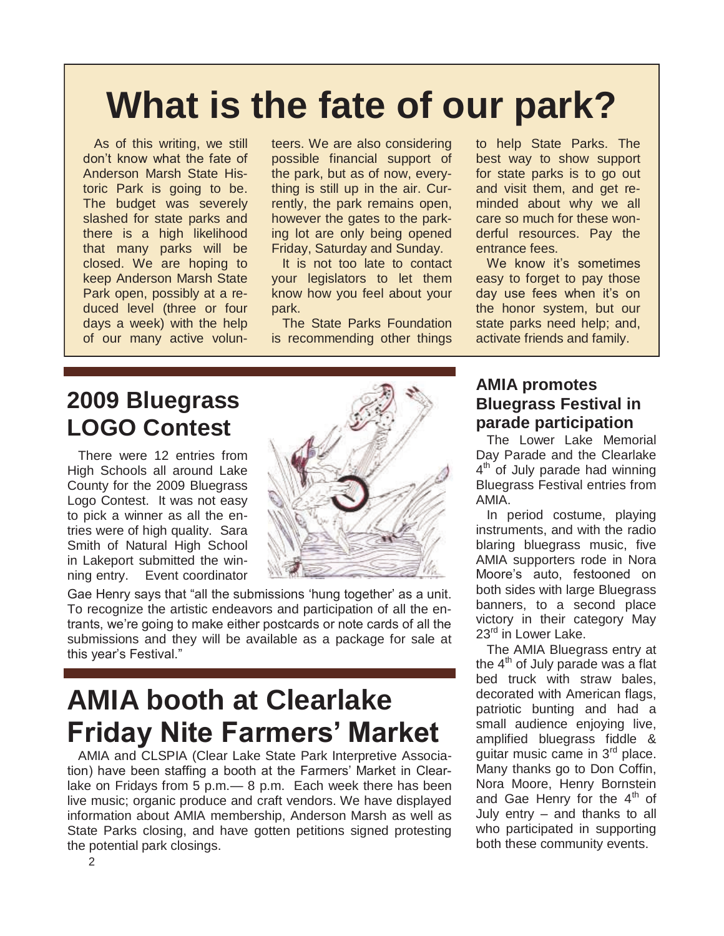# **What is the fate of our park?**

As of this writing, we still don't know what the fate of Anderson Marsh State Historic Park is going to be. The budget was severely slashed for state parks and there is a high likelihood that many parks will be closed. We are hoping to keep Anderson Marsh State Park open, possibly at a reduced level (three or four days a week) with the help of our many active volun-

teers. We are also considering possible financial support of the park, but as of now, everything is still up in the air. Currently, the park remains open, however the gates to the parking lot are only being opened Friday, Saturday and Sunday.

It is not too late to contact your legislators to let them know how you feel about your park.

The State Parks Foundation is recommending other things to help State Parks. The best way to show support for state parks is to go out and visit them, and get reminded about why we all care so much for these wonderful resources. Pay the entrance fees.

We know it's sometimes easy to forget to pay those day use fees when it's on the honor system, but our state parks need help; and, activate friends and family.

### **2009 Bluegrass LOGO Contest**

There were 12 entries from High Schools all around Lake County for the 2009 Bluegrass Logo Contest. It was not easy to pick a winner as all the entries were of high quality. Sara Smith of Natural High School in Lakeport submitted the winning entry. Event coordinator



Gae Henry says that "all the submissions 'hung together' as a unit. To recognize the artistic endeavors and participation of all the entrants, we're going to make either postcards or note cards of all the submissions and they will be available as a package for sale at this year's Festival."

## **AMIA booth at Clearlake Friday Nite Farmers' Market**

AMIA and CLSPIA (Clear Lake State Park Interpretive Association) have been staffing a booth at the Farmers' Market in Clearlake on Fridays from 5 p.m.— 8 p.m. Each week there has been live music; organic produce and craft vendors. We have displayed information about AMIA membership, Anderson Marsh as well as State Parks closing, and have gotten petitions signed protesting the potential park closings.

#### **AMIA promotes Bluegrass Festival in parade participation**

The Lower Lake Memorial Day Parade and the Clearlake 4<sup>th</sup> of July parade had winning Bluegrass Festival entries from AMIA.

In period costume, playing instruments, and with the radio blaring bluegrass music, five AMIA supporters rode in Nora Moore's auto, festooned on both sides with large Bluegrass banners, to a second place victory in their category May 23<sup>rd</sup> in Lower Lake.

The AMIA Bluegrass entry at the  $4<sup>th</sup>$  of July parade was a flat bed truck with straw bales, decorated with American flags, patriotic bunting and had a small audience enjoying live, amplified bluegrass fiddle & quitar music came in 3<sup>rd</sup> place. Many thanks go to Don Coffin, Nora Moore, Henry Bornstein and Gae Henry for the  $4<sup>th</sup>$  of July entry – and thanks to all who participated in supporting both these community events.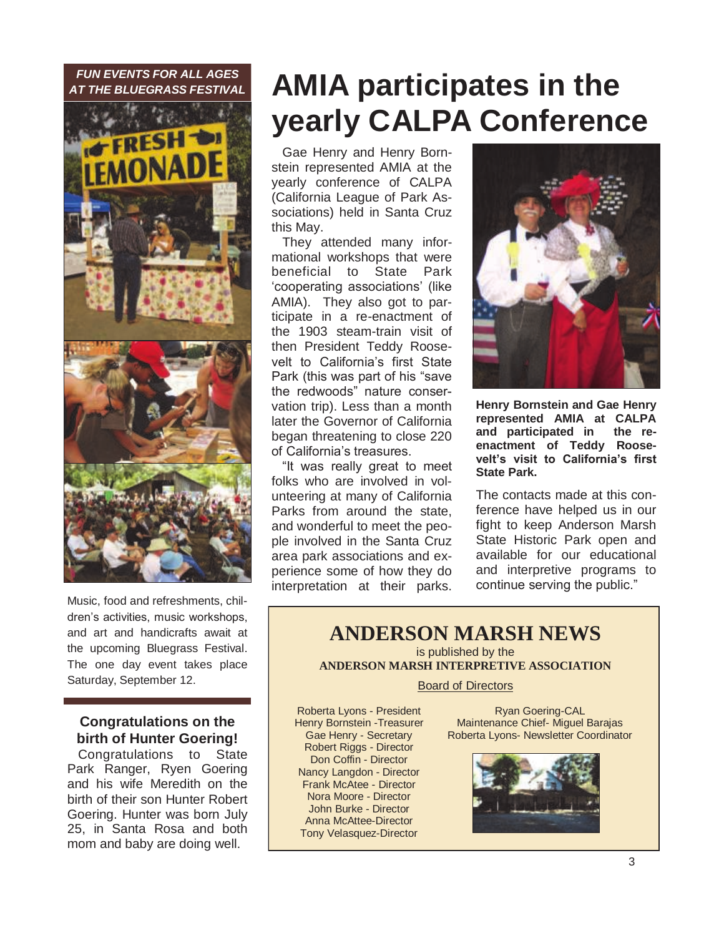#### *FUN EVENTS FOR ALL AGES AT THE BLUEGRASS FESTIVAL*



Music, food and refreshments, children's activities, music workshops, and art and handicrafts await at the upcoming Bluegrass Festival. The one day event takes place Saturday, September 12.

#### **Congratulations on the birth of Hunter Goering!**

Congratulations to State Park Ranger, Ryen Goering and his wife Meredith on the birth of their son Hunter Robert Goering. Hunter was born July 25, in Santa Rosa and both mom and baby are doing well.

# **AMIA participates in the yearly CALPA Conference**

Gae Henry and Henry Bornstein represented AMIA at the yearly conference of CALPA (California League of Park Associations) held in Santa Cruz this May.

They attended many informational workshops that were beneficial to State Park ‗cooperating associations' (like AMIA). They also got to participate in a re-enactment of the 1903 steam-train visit of then President Teddy Roosevelt to California's first State Park (this was part of his "save the redwoods" nature conservation trip). Less than a month later the Governor of California began threatening to close 220 of California's treasures.

"It was really great to meet folks who are involved in volunteering at many of California Parks from around the state, and wonderful to meet the people involved in the Santa Cruz area park associations and experience some of how they do interpretation at their parks.



**Henry Bornstein and Gae Henry represented AMIA at CALPA and participated in the reenactment of Teddy Roosevelt's visit to California's first State Park.**

The contacts made at this conference have helped us in our fight to keep Anderson Marsh State Historic Park open and available for our educational and interpretive programs to continue serving the public."

#### **ANDERSON MARSH NEWS** is published by the

**ANDERSON MARSH INTERPRETIVE ASSOCIATION**

#### Board of Directors

Roberta Lyons - President Henry Bornstein -Treasurer Gae Henry - Secretary Robert Riggs - Director Don Coffin - Director Nancy Langdon - Director Frank McAtee - Director Nora Moore - Director John Burke - Director Anna McAttee-Director Tony Velasquez-Director

Ryan Goering-CAL Maintenance Chief- Miguel Barajas Roberta Lyons- Newsletter Coordinator